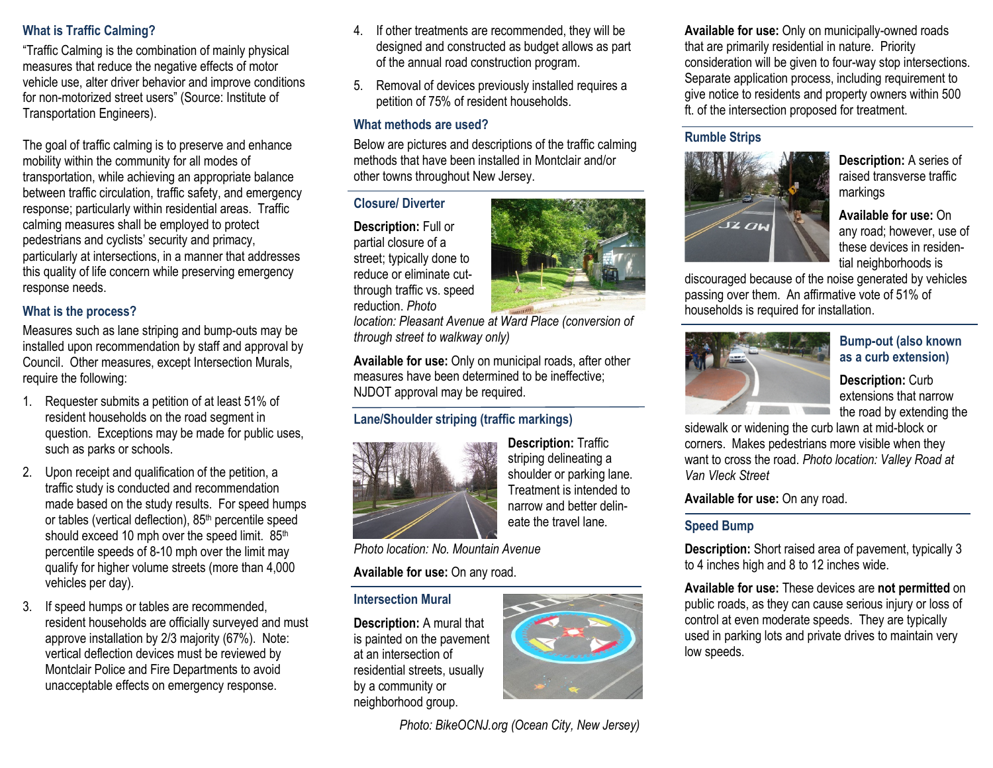## What is Traffic Calming?

"Traffic Calming is the combination of mainly physical measures that reduce the negative effects of motor vehicle use, alter driver behavior and improve conditions for non-motorized street users" (Source: Institute of Transportation Engineers).

The goal of traffic calming is to preserve and enhance mobility within the community for all modes of transportation, while achieving an appropriate balance between traffic circulation, traffic safety, and emergency response; particularly within residential areas. Traffic calming measures shall be employed to protect pedestrians and cyclists' security and primacy, particularly at intersections, in a manner that addresses this quality of life concern while preserving emergency response needs.

## What is the process?

Measures such as lane striping and bump-outs may be installed upon recommendation by staff and approval by Council. Other measures, except Intersection Murals, require the following:

- 1. Requester submits a petition of at least 51% of resident households on the road segment in question. Exceptions may be made for public uses, such as parks or schools.
- 2. Upon receipt and qualification of the petition, a traffic study is conducted and recommendation made based on the study results. For speed humps or tables (vertical deflection), 85<sup>th</sup> percentile speed should exceed 10 mph over the speed limit. 85<sup>th</sup> percentile speeds of 8-10 mph over the limit may qualify for higher volume streets (more than 4,000 vehicles per day).
- 3. If speed humps or tables are recommended, resident households are officially surveyed and must approve installation by 2/3 majority (67%). Note: vertical deflection devices must be reviewed by Montclair Police and Fire Departments to avoid unacceptable effects on emergency response.
- 4. If other treatments are recommended, they will be designed and constructed as budget allows as part of the annual road construction program.
- 5. Removal of devices previously installed requires a petition of 75% of resident households.

### What methods are used?

 Below are pictures and descriptions of the traffic calming methods that have been installed in Montclair and/or other towns throughout New Jersey.

## Closure/ Diverter

Description: Full or partial closure of a street; typically done to reduce or eliminate cutthrough traffic vs. speed reduction. Photo

 location: Pleasant Avenue at Ward Place (conversion of through street to walkway only)

Available for use: Only on municipal roads, after other measures have been determined to be ineffective; NJDOT approval may be required.

# Lane/Shoulder striping (traffic markings)



Description: Traffic striping delineating a shoulder or parking lane. Treatment is intended to narrow and better delineate the travel lane.

Photo location: No. Mountain Avenue

Available for use: On any road.

### Intersection Mural

Description: A mural that is painted on the pavement at an intersection of residential streets, usually by a community or neighborhood group.



Photo: BikeOCNJ.org (Ocean City, New Jersey)

Available for use: Only on municipally-owned roads that are primarily residential in nature. Priority consideration will be given to four-way stop intersections. Separate application process, including requirement to give notice to residents and property owners within 500 ft. of the intersection proposed for treatment.

## Rumble Strips



Description: A series of raised transverse traffic markings

Available for use: On any road; however, use of these devices in residential neighborhoods is

 discouraged because of the noise generated by vehicles passing over them. An affirmative vote of 51% of households is required for installation.



#### Bump-out (also known as a curb extension)

Description: Curb extensions that narrow the road by extending the

sidewalk or widening the curb lawn at mid-block or corners. Makes pedestrians more visible when they want to cross the road. Photo location: Valley Road at Van Vleck Street

Available for use: On any road.

## Speed Bump

Description: Short raised area of pavement, typically 3 to 4 inches high and 8 to 12 inches wide.

Available for use: These devices are not permitted on public roads, as they can cause serious injury or loss of control at even moderate speeds. They are typically used in parking lots and private drives to maintain very low speeds.